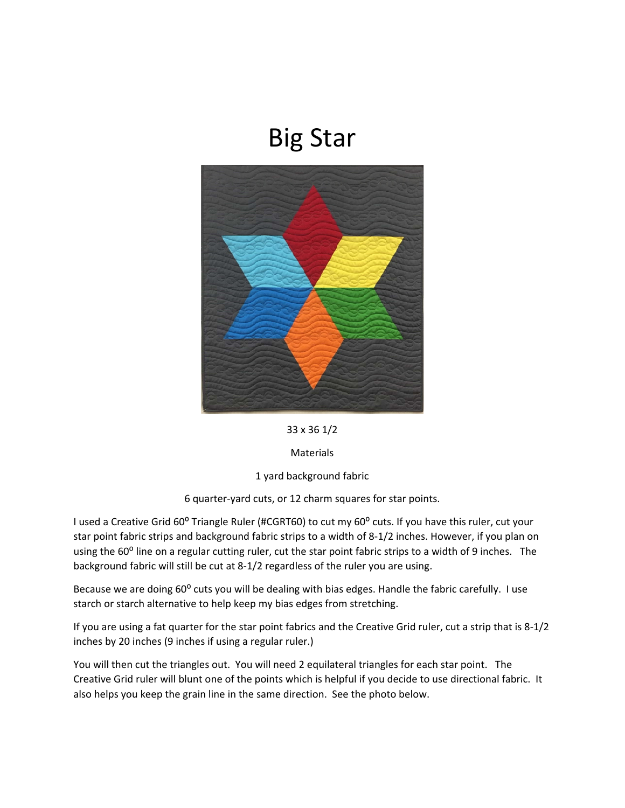## Big Star



33 x 36 1/2

Materials

1 yard background fabric

6 quarter‐yard cuts, or 12 charm squares for star points.

I used a Creative Grid 60° Triangle Ruler (#CGRT60) to cut my 60° cuts. If you have this ruler, cut your star point fabric strips and background fabric strips to a width of 8‐1/2 inches. However, if you plan on using the 60<sup>°</sup> line on a regular cutting ruler, cut the star point fabric strips to a width of 9 inches. The background fabric will still be cut at 8‐1/2 regardless of the ruler you are using.

Because we are doing 60° cuts you will be dealing with bias edges. Handle the fabric carefully. I use starch or starch alternative to help keep my bias edges from stretching.

If you are using a fat quarter for the star point fabrics and the Creative Grid ruler, cut a strip that is 8‐1/2 inches by 20 inches (9 inches if using a regular ruler.)

You will then cut the triangles out. You will need 2 equilateral triangles for each star point. The Creative Grid ruler will blunt one of the points which is helpful if you decide to use directional fabric. It also helps you keep the grain line in the same direction. See the photo below.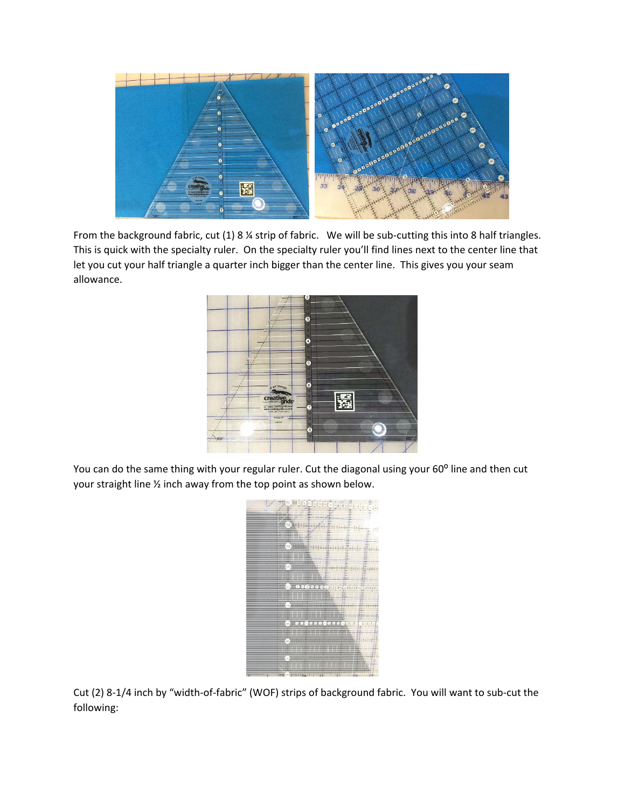

From the background fabric, cut (1) 8 ¼ strip of fabric. We will be sub-cutting this into 8 half triangles. This is quick with the specialty ruler. On the specialty ruler you'll find lines next to the center line that let you cut your half triangle a quarter inch bigger than the center line. This gives you your seam allowance.



You can do the same thing with your regular ruler. Cut the diagonal using your 60° line and then cut your straight line ½ inch away from the top point as shown below.



Cut (2) 8‐1/4 inch by "width‐of‐fabric" (WOF) strips of background fabric. You will want to sub‐cut the following: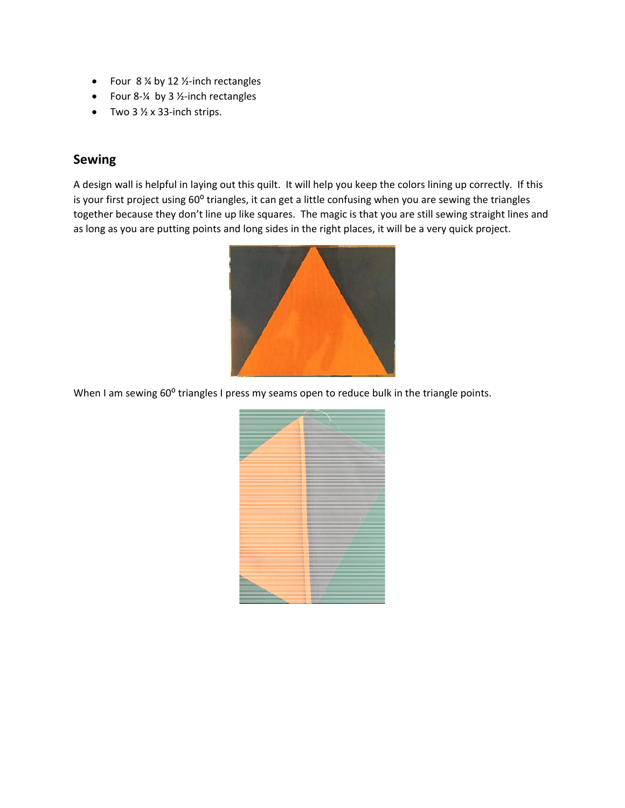- Four  $8\%$  by 12 ½-inch rectangles
- Four 8‐¼ by 3 ½‐inch rectangles
- Two  $3\frac{1}{2} \times 33$ -inch strips.

## **Sewing**

A design wall is helpful in laying out this quilt. It will help you keep the colors lining up correctly. If this is your first project using 60° triangles, it can get a little confusing when you are sewing the triangles together because they don't line up like squares. The magic is that you are still sewing straight lines and as long as you are putting points and long sides in the right places, it will be a very quick project.



When I am sewing 60° triangles I press my seams open to reduce bulk in the triangle points.